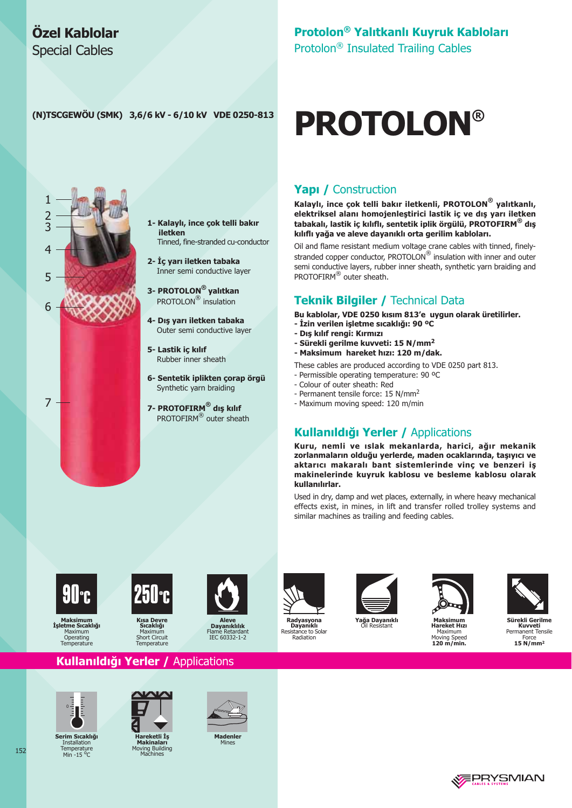### Özel Kablolar **Special Cables**

## Protolon® Yalıtkanlı Kuyruk Kabloları

Protolon<sup>®</sup> Insulated Trailing Cables

**PROTOLON®** 

#### (N)TSCGEWÖU (SMK) 3,6/6 kV - 6/10 kV VDE 0250-813



1- Kalaylı, ince çok telli bakır iletken Tinned, fine-stranded cu-conductor

2- İç yarı iletken tabaka Inner semi conductive layer

3- PROTOLON® yalıtkan PROTOLON<sup>®</sup> insulation

4- Dış yarı iletken tabaka Outer semi conductive layer

5- Lastik iç kılıf Rubber inner sheath

6- Sentetik iplikten çorap örgü Synthetic varn braiding

7- PROTOFIRM® dis kilif PROTOFIRM<sup>®</sup> outer sheath

### **Yapı / Construction**

Kalaylı, ince çok telli bakır iletkenli, PROTOLON® yalıtkanlı, elektriksel alanı homojenleştirici lastik iç ve dış yarı iletken tabakalı, lastik iç kılıflı, sentetik iplik örgülü, PROTOFIRM® dış kılıflı yağa ve aleve dayanıklı orta gerilim kabloları.

Oil and flame resistant medium voltage crane cables with tinned, finelystranded copper conductor, PROTOLON<sup>®</sup> insulation with inner and outer semi conductive layers, rubber inner sheath, synthetic yarn braiding and PROTOFIRM® outer sheath.

#### **Teknik Bilgiler / Technical Data**

Bu kablolar, VDE 0250 kısım 813'e uygun olarak üretilirler.

- İzin verilen işletme sıcaklığı: 90 °C
- Dış kılıf rengi: Kırmızı
- Sürekli gerilme kuvveti: 15 N/mm<sup>2</sup>
- Maksimum hareket hızı: 120 m/dak.
- These cables are produced according to VDE 0250 part 813.
- Permissible operating temperature: 90 °C
- Colour of outer sheath: Red
- Permanent tensile force: 15 N/mm<sup>2</sup>
- Maximum moving speed: 120 m/min

#### Kullanıldığı Yerler / Applications

Kuru, nemli ve ıslak mekanlarda, harici, ağır mekanik zorlanmaların olduğu yerlerde, maden ocaklarında, taşıyıcı ve aktarıcı makaralı bant sistemlerinde vinç ve benzeri iş makinelerinde kuyruk kablosu ve besleme kablosu olarak kullanılırlar.

Used in dry, damp and wet places, externally, in where heavy mechanical effects exist, in mines, in lift and transfer rolled trolley systems and similar machines as trailing and feeding cables.



**Maksimum** İsletme Sıcaklığı Maximum Operating<br>Temperature



Sıcaklığ Maximu Short Circuit<br>Temperature



**Aleve<br>Dayanıklılık**<br>IEC 60332-1-2 Elan



Radvasvona **Dayanikli**<br>Resistance to Solar Radiation





Maximum

Moving Speed<br>120 m/min.



Sürekli Gerilme Kuvveti **Nuvveu**<br>Permanent Tensile<br>Force  $15$  N/mm<sup>2</sup>

**EPRYSMIAN** 

### Kullanıldığı Yerler / Applications



Serim Sıcaklığı This Diction<br>Thstallation Temperature<br>Min -15 °C

152



Hareketli İs **Takinalari**<br>Ving Building<br>Machines



**Madenler**